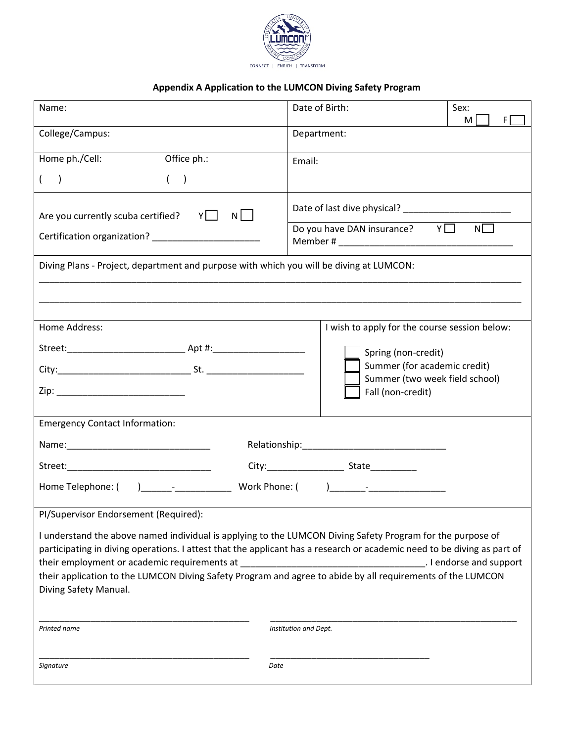

# **Appendix A Application to the LUMCON Diving Safety Program**

| Name:                                                                                                                                                                                                                          | Date of Birth:                                                 | Sex:<br>М<br>FI |  |  |  |
|--------------------------------------------------------------------------------------------------------------------------------------------------------------------------------------------------------------------------------|----------------------------------------------------------------|-----------------|--|--|--|
| College/Campus:                                                                                                                                                                                                                | Department:                                                    |                 |  |  |  |
| Home ph./Cell:<br>Office ph.:                                                                                                                                                                                                  | Email:                                                         |                 |  |  |  |
| $\rightarrow$<br>$\rightarrow$                                                                                                                                                                                                 |                                                                |                 |  |  |  |
| Are you currently scuba certified? $Y \Box$<br>$N \Box$                                                                                                                                                                        | Date of last dive physical?                                    |                 |  |  |  |
|                                                                                                                                                                                                                                | Do you have DAN insurance? $Y \Box$                            | N               |  |  |  |
| Diving Plans - Project, department and purpose with which you will be diving at LUMCON:                                                                                                                                        |                                                                |                 |  |  |  |
|                                                                                                                                                                                                                                |                                                                |                 |  |  |  |
|                                                                                                                                                                                                                                |                                                                |                 |  |  |  |
| Home Address:                                                                                                                                                                                                                  | I wish to apply for the course session below:                  |                 |  |  |  |
|                                                                                                                                                                                                                                | Spring (non-credit)                                            |                 |  |  |  |
|                                                                                                                                                                                                                                | Summer (for academic credit)<br>Summer (two week field school) |                 |  |  |  |
| Fall (non-credit)                                                                                                                                                                                                              |                                                                |                 |  |  |  |
|                                                                                                                                                                                                                                |                                                                |                 |  |  |  |
| <b>Emergency Contact Information:</b>                                                                                                                                                                                          |                                                                |                 |  |  |  |
|                                                                                                                                                                                                                                |                                                                |                 |  |  |  |
|                                                                                                                                                                                                                                |                                                                |                 |  |  |  |
| Home Telephone: ( ) and a set of the set of the set of the set of the set of the set of the set of the set of the set of the set of the set of the set of the set of the set of the set of the set of the set of the set of th |                                                                |                 |  |  |  |
| PI/Supervisor Endorsement (Required):                                                                                                                                                                                          |                                                                |                 |  |  |  |
| I understand the above named individual is applying to the LUMCON Diving Safety Program for the purpose of                                                                                                                     |                                                                |                 |  |  |  |
| participating in diving operations. I attest that the applicant has a research or academic need to be diving as part of                                                                                                        |                                                                |                 |  |  |  |
| their employment or academic requirements at<br>. I endorse and support<br>their application to the LUMCON Diving Safety Program and agree to abide by all requirements of the LUMCON                                          |                                                                |                 |  |  |  |
| Diving Safety Manual.                                                                                                                                                                                                          |                                                                |                 |  |  |  |
|                                                                                                                                                                                                                                |                                                                |                 |  |  |  |
| Printed name                                                                                                                                                                                                                   | Institution and Dept.                                          |                 |  |  |  |
|                                                                                                                                                                                                                                |                                                                |                 |  |  |  |
| Signature<br>Date                                                                                                                                                                                                              |                                                                |                 |  |  |  |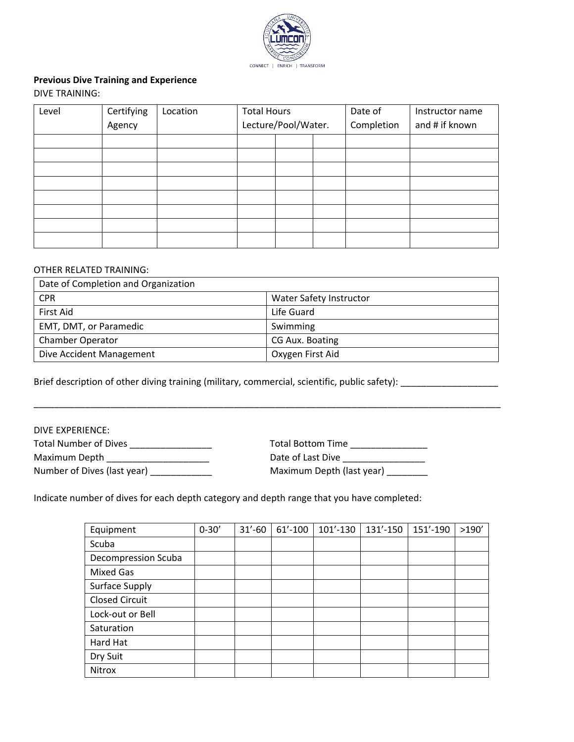

# **Previous Dive Training and Experience**

DIVE TRAINING:

| Level | Certifying | Location | <b>Total Hours</b>  |  | Date of    | Instructor name |  |
|-------|------------|----------|---------------------|--|------------|-----------------|--|
|       | Agency     |          | Lecture/Pool/Water. |  | Completion | and # if known  |  |
|       |            |          |                     |  |            |                 |  |
|       |            |          |                     |  |            |                 |  |
|       |            |          |                     |  |            |                 |  |
|       |            |          |                     |  |            |                 |  |
|       |            |          |                     |  |            |                 |  |
|       |            |          |                     |  |            |                 |  |
|       |            |          |                     |  |            |                 |  |
|       |            |          |                     |  |            |                 |  |

## OTHER RELATED TRAINING:

| Date of Completion and Organization |                         |  |  |  |
|-------------------------------------|-------------------------|--|--|--|
| <b>CPR</b>                          | Water Safety Instructor |  |  |  |
| First Aid                           | Life Guard              |  |  |  |
| EMT, DMT, or Paramedic              | Swimming                |  |  |  |
| <b>Chamber Operator</b>             | CG Aux. Boating         |  |  |  |
| Dive Accident Management            | Oxygen First Aid        |  |  |  |

\_\_\_\_\_\_\_\_\_\_\_\_\_\_\_\_\_\_\_\_\_\_\_\_\_\_\_\_\_\_\_\_\_\_\_\_\_\_\_\_\_\_\_\_\_\_\_\_\_\_\_\_\_\_\_\_\_\_\_\_\_\_\_\_\_\_\_\_\_\_\_\_\_\_\_\_\_\_\_\_\_\_\_\_\_\_\_\_\_\_\_

Brief description of other diving training (military, commercial, scientific, public safety): \_\_\_\_\_\_\_\_\_\_\_\_\_\_\_\_

### DIVE EXPERIENCE:

| <b>Total Number of Dives</b> | <b>Total Bottom Time</b>  |
|------------------------------|---------------------------|
| Maximum Depth                | Date of Last Dive         |
| Number of Dives (last year)  | Maximum Depth (last year) |

Indicate number of dives for each depth category and depth range that you have completed:

| Equipment             | $0 - 30'$ | $31' - 60$ | $61' - 100$ | 101'-130 | 131'-150 | 151′-190 | >190' |
|-----------------------|-----------|------------|-------------|----------|----------|----------|-------|
| Scuba                 |           |            |             |          |          |          |       |
| Decompression Scuba   |           |            |             |          |          |          |       |
| <b>Mixed Gas</b>      |           |            |             |          |          |          |       |
| <b>Surface Supply</b> |           |            |             |          |          |          |       |
| <b>Closed Circuit</b> |           |            |             |          |          |          |       |
| Lock-out or Bell      |           |            |             |          |          |          |       |
| Saturation            |           |            |             |          |          |          |       |
| Hard Hat              |           |            |             |          |          |          |       |
| Dry Suit              |           |            |             |          |          |          |       |
| Nitrox                |           |            |             |          |          |          |       |